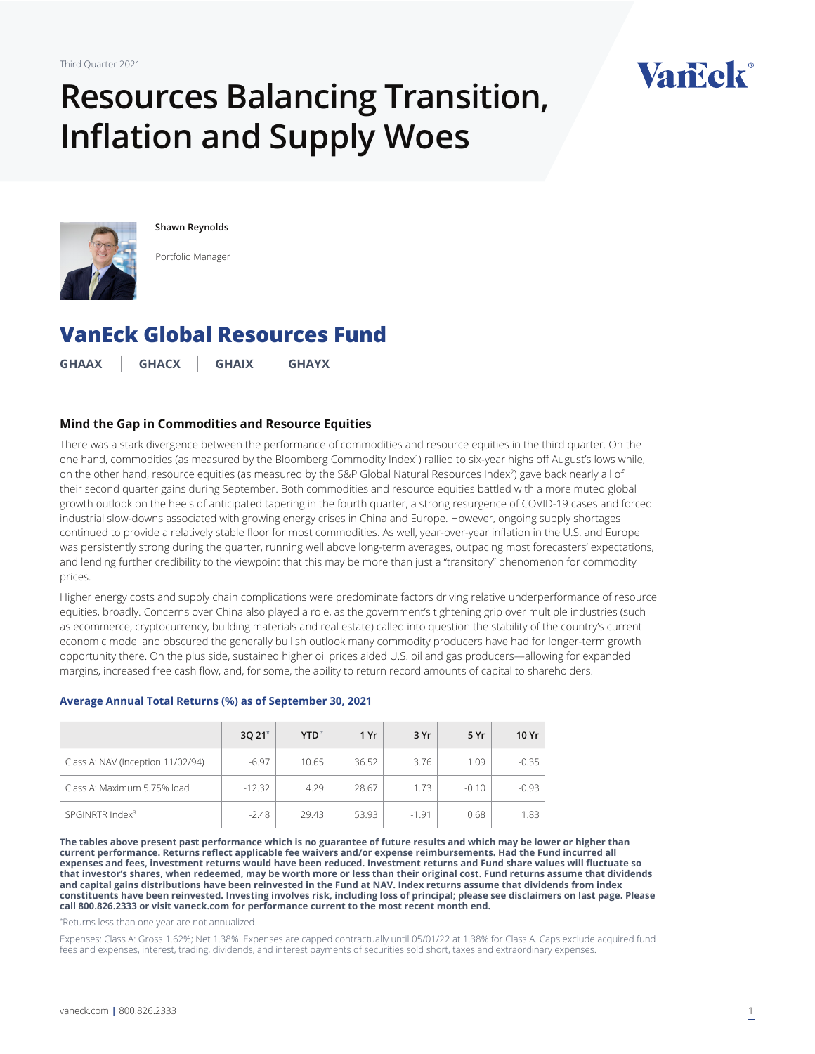# **Resources Balancing Transition, Inflation and Supply Woes**





**Shawn Reynolds**

Portfolio Manager

# **[VanEck Global Resources Fund](https://www.vaneck.com/us/en/investments/global-resources-fund-ghaax/)**

**GHAAX GHACX GHAIX GHAYX**

#### **Mind the Gap in Commodities and Resource Equities**

There was a stark divergence between the performance of commodities and resource equities in the third quarter. On the one hand, commodities (as measured by the Bloomberg Commodity Index') rallied to six-year highs off August's lows while, on the other hand, resource equities (as measured by the S&P Global Natural Resources Index<sup>2</sup>) gave back nearly all of their second quarter gains during September. Both commodities and resource equities battled with a more muted global growth outlook on the heels of anticipated tapering in the fourth quarter, a strong resurgence of COVID-19 cases and forced industrial slow-downs associated with growing energy crises in China and Europe. However, ongoing supply shortages continued to provide a relatively stable floor for most commodities. As well, year-over-year inflation in the U.S. and Europe was persistently strong during the quarter, running well above long-term averages, outpacing most forecasters' expectations, and lending further credibility to the viewpoint that this may be more than just a "transitory" phenomenon for commodity prices.

Higher energy costs and supply chain complications were predominate factors driving relative underperformance of resource equities, broadly. Concerns over China also played a role, as the government's tightening grip over multiple industries (such as ecommerce, cryptocurrency, building materials and real estate) called into question the stability of the country's current economic model and obscured the generally bullish outlook many commodity producers have had for longer-term growth opportunity there. On the plus side, sustained higher oil prices aided U.S. oil and gas producers—allowing for expanded margins, increased free cash flow, and, for some, the ability to return record amounts of capital to shareholders.

|                                   | 3Q 21 <sup>*</sup> | <b>YTD</b> | 1 Yr  | 3 Yr    | 5 Yr    | 10 Yr   |
|-----------------------------------|--------------------|------------|-------|---------|---------|---------|
| Class A: NAV (Inception 11/02/94) | $-6.97$            | 10.65      | 36.52 | 3.76    | 1.09    | $-0.35$ |
| Class A: Maximum 5.75% load       | $-12.32$           | 4.29       | 28.67 | 1.73    | $-0.10$ | $-0.93$ |
| SPGINRTR Index <sup>3</sup>       | $-2.48$            | 29.43      | 53.93 | $-1.91$ | 0.68    | 1.83    |

**Average Annual Total Returns (%) as of September 30, 2021**

**The tables above present past performance which is no guarantee of future results and which may be lower or higher than current performance. Returns reflect applicable fee waivers and/or expense reimbursements. Had the Fund incurred all expenses and fees, investment returns would have been reduced. Investment returns and Fund share values will fluctuate so that investor's shares, when redeemed, may be worth more or less than their original cost. Fund returns assume that dividends and capital gains distributions have been reinvested in the Fund at NAV. Index returns assume that dividends from index constituents have been reinvested. Investing involves risk, including loss of principal; please see disclaimers on last page. Please call 800.826.2333 or visit vaneck.com for performance current to the most recent month end.** 

\* Returns less than one year are not annualized.

Expenses: Class A: Gross 1.62%; Net 1.38%. Expenses are capped contractually until 05/01/22 at 1.38% for Class A. Caps exclude acquired fund fees and expenses, interest, trading, dividends, and interest payments of securities sold short, taxes and extraordinary expenses.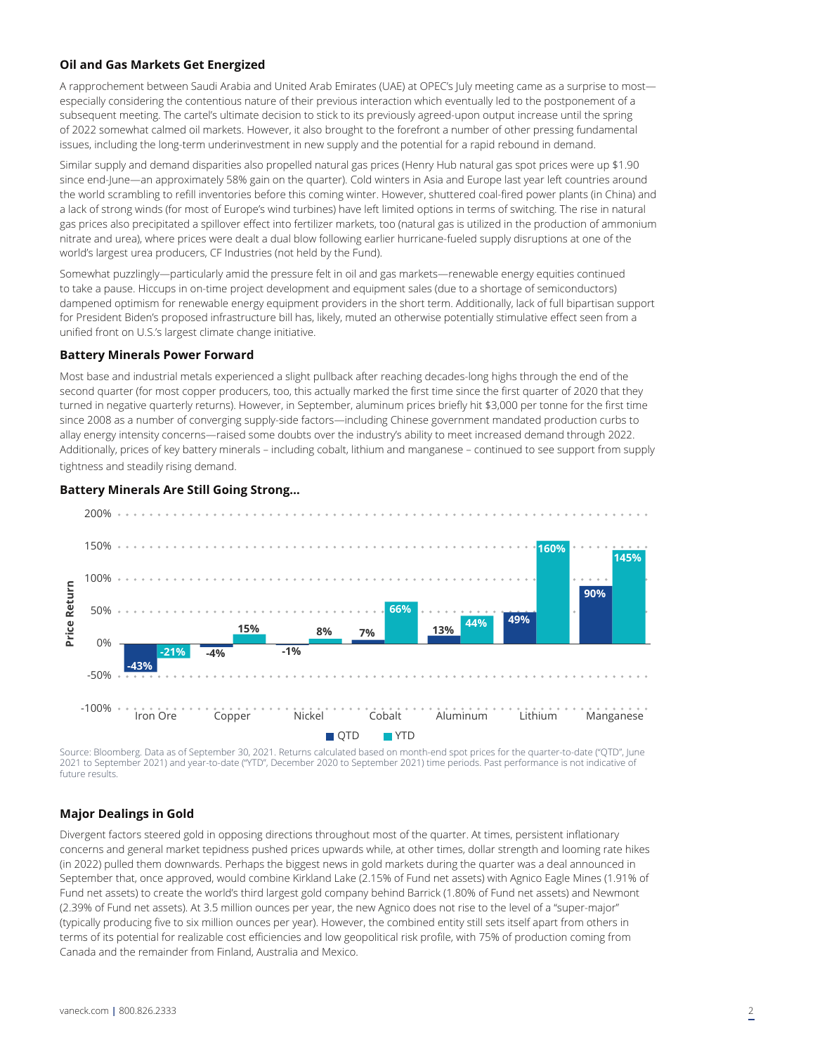### **Oil and Gas Markets Get Energized**

A rapprochement between Saudi Arabia and United Arab Emirates (UAE) at OPEC's July meeting came as a surprise to most especially considering the contentious nature of their previous interaction which eventually led to the postponement of a subsequent meeting. The cartel's ultimate decision to stick to its previously agreed-upon output increase until the spring of 2022 somewhat calmed oil markets. However, it also brought to the forefront a number of other pressing fundamental issues, including the long-term underinvestment in new supply and the potential for a rapid rebound in demand.

Similar supply and demand disparities also propelled natural gas prices (Henry Hub natural gas spot prices were up \$1.90 since end-June—an approximately 58% gain on the quarter). Cold winters in Asia and Europe last year left countries around the world scrambling to refill inventories before this coming winter. However, shuttered coal-fired power plants (in China) and a lack of strong winds (for most of Europe's wind turbines) have left limited options in terms of switching. The rise in natural gas prices also precipitated a spillover effect into fertilizer markets, too (natural gas is utilized in the production of ammonium nitrate and urea), where prices were dealt a dual blow following earlier hurricane-fueled supply disruptions at one of the world's largest urea producers, CF Industries (not held by the Fund).

Somewhat puzzlingly—particularly amid the pressure felt in oil and gas markets—renewable energy equities continued to take a pause. Hiccups in on-time project development and equipment sales (due to a shortage of semiconductors) dampened optimism for renewable energy equipment providers in the short term. Additionally, lack of full bipartisan support for President Biden's proposed infrastructure bill has, likely, muted an otherwise potentially stimulative effect seen from a unified front on U.S.'s largest climate change initiative.

#### **Battery Minerals Power Forward**

Most base and industrial metals experienced a slight pullback after reaching decades-long highs through the end of the second quarter (for most copper producers, too, this actually marked the first time since the first quarter of 2020 that they turned in negative quarterly returns). However, in September, aluminum prices briefly hit \$3,000 per tonne for the first time since 2008 as a number of converging supply-side factors—including Chinese government mandated production curbs to allay energy intensity concerns—raised some doubts over the industry's ability to meet increased demand through 2022. Additionally, prices of key battery minerals – including cobalt, lithium and manganese – continued to see support from supply tightness and steadily rising demand.

#### **Battery Minerals Are Still Going Strong…**



Source: Bloomberg. Data as of September 30, 2021. Returns calculated based on month-end spot prices for the quarter-to-date ("QTD", June 2021 to September 2021) and year-to-date ("YTD", December 2020 to September 2021) time periods. Past performance is not indicative of future results.

## **Major Dealings in Gold**

Divergent factors steered gold in opposing directions throughout most of the quarter. At times, persistent inflationary concerns and general market tepidness pushed prices upwards while, at other times, dollar strength and looming rate hikes (in 2022) pulled them downwards. Perhaps the biggest news in gold markets during the quarter was a deal announced in September that, once approved, would combine Kirkland Lake (2.15% of Fund net assets) with Agnico Eagle Mines (1.91% of Fund net assets) to create the world's third largest gold company behind Barrick (1.80% of Fund net assets) and Newmont (2.39% of Fund net assets). At 3.5 million ounces per year, the new Agnico does not rise to the level of a "super-major" (typically producing five to six million ounces per year). However, the combined entity still sets itself apart from others in terms of its potential for realizable cost efficiencies and low geopolitical risk profile, with 75% of production coming from Canada and the remainder from Finland, Australia and Mexico.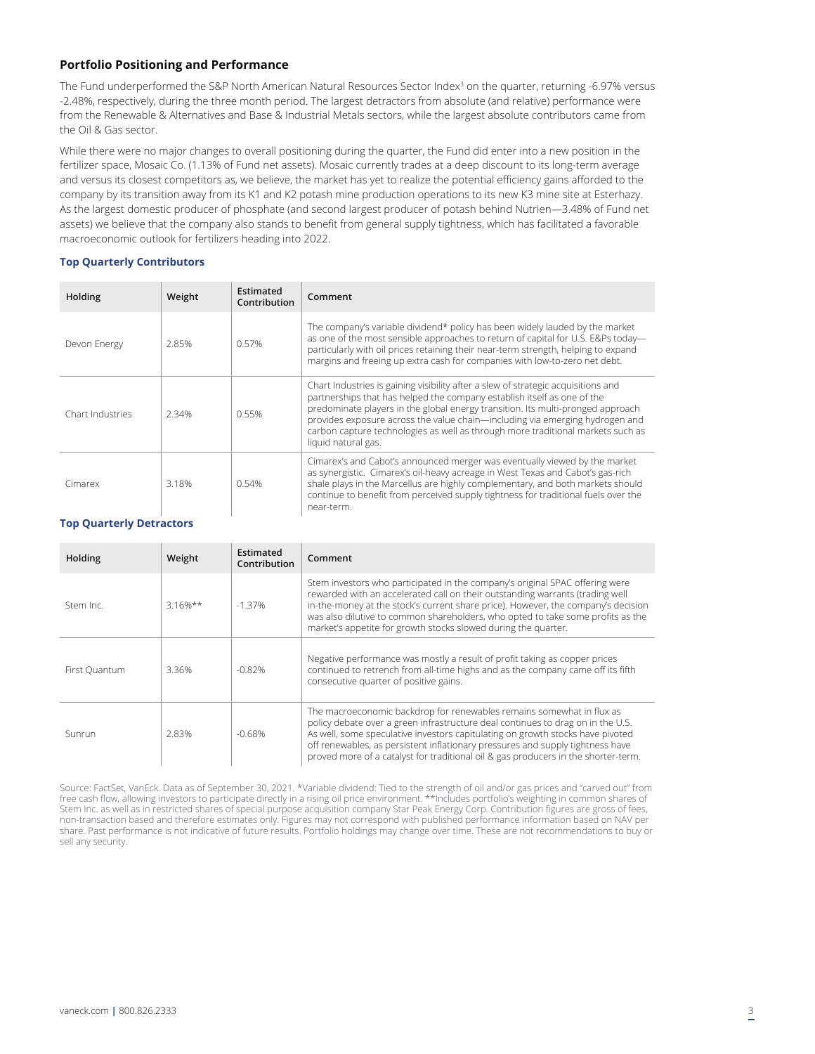#### **Portfolio Positioning and Performance**

The Fund underperformed the S&P North American Natural Resources Sector Index<sup>3</sup> on the quarter, returning -6.97% versus -2.48%, respectively, during the three month period. The largest detractors from absolute (and relative) performance were from the Renewable & Alternatives and Base & Industrial Metals sectors, while the largest absolute contributors came from the Oil & Gas sector.

While there were no major changes to overall positioning during the quarter, the Fund did enter into a new position in the fertilizer space, Mosaic Co. (1.13% of Fund net assets). Mosaic currently trades at a deep discount to its long-term average and versus its closest competitors as, we believe, the market has yet to realize the potential efficiency gains afforded to the company by its transition away from its K1 and K2 potash mine production operations to its new K3 mine site at Esterhazy. As the largest domestic producer of phosphate (and second largest producer of potash behind Nutrien—3.48% of Fund net assets) we believe that the company also stands to benefit from general supply tightness, which has facilitated a favorable macroeconomic outlook for fertilizers heading into 2022.

#### **Top Quarterly Contributors**

| Holding          | Weight | Estimated<br>Contribution | Comment                                                                                                                                                                                                                                                                                                                                                                                                                                   |
|------------------|--------|---------------------------|-------------------------------------------------------------------------------------------------------------------------------------------------------------------------------------------------------------------------------------------------------------------------------------------------------------------------------------------------------------------------------------------------------------------------------------------|
| Devon Energy     | 2.85%  | 0.57%                     | The company's variable dividend* policy has been widely lauded by the market<br>as one of the most sensible approaches to return of capital for U.S. E&Ps today-<br>particularly with oil prices retaining their near-term strength, helping to expand<br>margins and freeing up extra cash for companies with low-to-zero net debt.                                                                                                      |
| Chart Industries | 2.34%  | 0.55%                     | Chart Industries is gaining visibility after a slew of strategic acquisitions and<br>partnerships that has helped the company establish itself as one of the<br>predominate players in the global energy transition. Its multi-pronged approach<br>provides exposure across the value chain-including via emerging hydrogen and<br>carbon capture technologies as well as through more traditional markets such as<br>liquid natural gas. |
| Cimarex          | 3.18%  | 0.54%                     | Cimarex's and Cabot's announced merger was eventually viewed by the market<br>as synergistic. Cimarex's oil-heavy acreage in West Texas and Cabot's gas-rich<br>shale plays in the Marcellus are highly complementary, and both markets should<br>continue to benefit from perceived supply tightness for traditional fuels over the<br>near-term.                                                                                        |

#### **Top Quarterly Detractors**

| Holding       | Weight     | Estimated<br>Contribution | Comment                                                                                                                                                                                                                                                                                                                                                                                                            |
|---------------|------------|---------------------------|--------------------------------------------------------------------------------------------------------------------------------------------------------------------------------------------------------------------------------------------------------------------------------------------------------------------------------------------------------------------------------------------------------------------|
| Stem Inc.     | $3.16%$ ** | $-1.37%$                  | Stem investors who participated in the company's original SPAC offering were<br>rewarded with an accelerated call on their outstanding warrants (trading well<br>in-the-money at the stock's current share price). However, the company's decision<br>was also dilutive to common shareholders, who opted to take some profits as the<br>market's appetite for growth stocks slowed during the quarter.            |
| First Ouantum | 3.36%      | $-0.82%$                  | Negative performance was mostly a result of profit taking as copper prices<br>continued to retrench from all-time highs and as the company came off its fifth<br>consecutive quarter of positive gains.                                                                                                                                                                                                            |
| Sunrun        | 2.83%      | $-0.68%$                  | The macroeconomic backdrop for renewables remains somewhat in flux as<br>policy debate over a green infrastructure deal continues to drag on in the U.S.<br>As well, some speculative investors capitulating on growth stocks have pivoted<br>off renewables, as persistent inflationary pressures and supply tightness have<br>proved more of a catalyst for traditional oil & gas producers in the shorter-term. |

Source: FactSet, VanEck. Data as of September 30, 2021. \*Variable dividend: Tied to the strength of oil and/or gas prices and "carved out" from free cash flow, allowing investors to participate directly in a rising oil price environment. \*\*Includes portfolio's weighting in common shares of Stem Inc. as well as in restricted shares of special purpose acquisition company Star Peak Energy Corp. Contribution figures are gross of fees, non-transaction based and therefore estimates only. Figures may not correspond with published performance information based on NAV per share. Past performance is not indicative of future results. Portfolio holdings may change over time. These are not recommendations to buy or sell any security.